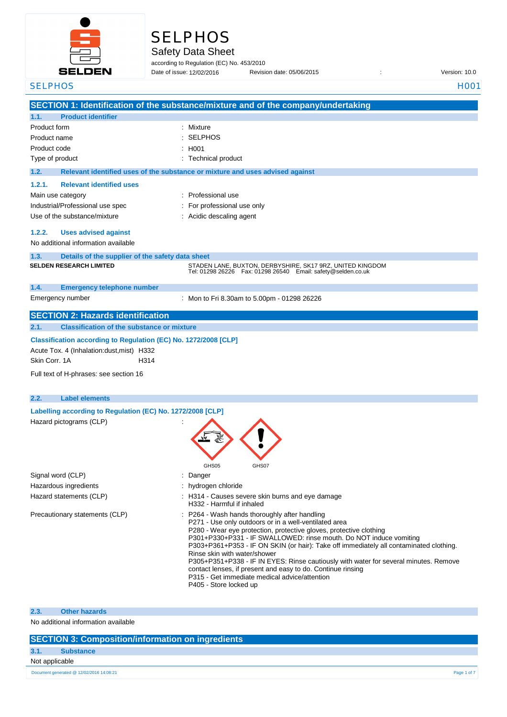

# **SELPHOS**

Safety Data Sheet

according to Regulation (EC) No. 453/2010

Date of issue: Revision date: 05/06/2015 : Version: 10.0 Date of issue: 12/02/2016

| <b>SELPHOS</b>                                                     | <b>H001</b>                                                                                                                              |
|--------------------------------------------------------------------|------------------------------------------------------------------------------------------------------------------------------------------|
|                                                                    | SECTION 1: Identification of the substance/mixture and of the company/undertaking                                                        |
| <b>Product identifier</b><br>1.1.                                  |                                                                                                                                          |
| Product form                                                       | Mixture<br>$\overline{\phantom{a}}$                                                                                                      |
| Product name                                                       | <b>SELPHOS</b>                                                                                                                           |
| Product code                                                       | H001                                                                                                                                     |
| Type of product                                                    | <b>Technical product</b>                                                                                                                 |
| 1.2.                                                               | Relevant identified uses of the substance or mixture and uses advised against                                                            |
| <b>Relevant identified uses</b><br>1.2.1.                          |                                                                                                                                          |
|                                                                    | Professional use                                                                                                                         |
| Main use category                                                  |                                                                                                                                          |
| Industrial/Professional use spec                                   | For professional use only                                                                                                                |
| Use of the substance/mixture                                       | Acidic descaling agent                                                                                                                   |
| 1.2.2.<br><b>Uses advised against</b>                              |                                                                                                                                          |
| No additional information available                                |                                                                                                                                          |
|                                                                    |                                                                                                                                          |
| 1.3.<br>Details of the supplier of the safety data sheet           |                                                                                                                                          |
| <b>SELDEN RESEARCH LIMITED</b>                                     | STADEN LANE, BUXTON, DERBYSHIRE, SK17 9RZ, UNITED KINGDOM<br>Tel: 01298 26226    Fax: 01298 26540    Email: safety@selden.co.uk          |
| 1.4.<br><b>Emergency telephone number</b>                          |                                                                                                                                          |
| Emergency number                                                   | : Mon to Fri 8.30am to 5.00pm - 01298 26226                                                                                              |
| <b>SECTION 2: Hazards identification</b>                           |                                                                                                                                          |
| <b>Classification of the substance or mixture</b><br>2.1.          |                                                                                                                                          |
| Classification according to Regulation (EC) No. 1272/2008 [CLP]    |                                                                                                                                          |
|                                                                    |                                                                                                                                          |
| Acute Tox. 4 (Inhalation:dust, mist) H332<br>Skin Corr, 1A<br>H314 |                                                                                                                                          |
|                                                                    |                                                                                                                                          |
| Full text of H-phrases: see section 16                             |                                                                                                                                          |
|                                                                    |                                                                                                                                          |
| <b>Label elements</b><br>2.2.                                      |                                                                                                                                          |
| Labelling according to Regulation (EC) No. 1272/2008 [CLP]         |                                                                                                                                          |
| Hazard pictograms (CLP)                                            |                                                                                                                                          |
|                                                                    |                                                                                                                                          |
|                                                                    |                                                                                                                                          |
|                                                                    |                                                                                                                                          |
|                                                                    | GHS05<br>GHS07                                                                                                                           |
| Signal word (CLP)                                                  | Danger                                                                                                                                   |
| Hazardous ingredients                                              | hydrogen chloride                                                                                                                        |
|                                                                    |                                                                                                                                          |
| Hazard statements (CLP)                                            | : H314 - Causes severe skin burns and eye damage<br>H332 - Harmful if inhaled                                                            |
| Precautionary statements (CLP)                                     | P264 - Wash hands thoroughly after handling                                                                                              |
|                                                                    | P271 - Use only outdoors or in a well-ventilated area                                                                                    |
|                                                                    | P280 - Wear eye protection, protective gloves, protective clothing<br>P301+P330+P331 - IF SWALLOWED: rinse mouth. Do NOT induce vomiting |
|                                                                    | P303+P361+P353 - IF ON SKIN (or hair): Take off immediately all contaminated clothing.                                                   |
|                                                                    | Rinse skin with water/shower                                                                                                             |
|                                                                    | P305+P351+P338 - IF IN EYES: Rinse cautiously with water for several minutes. Remove                                                     |
|                                                                    | contact lenses, if present and easy to do. Continue rinsing                                                                              |
|                                                                    | P315 - Get immediate medical advice/attention                                                                                            |
|                                                                    | P405 - Store locked up                                                                                                                   |
|                                                                    |                                                                                                                                          |
| <b>Other hazards</b><br>2.3.                                       |                                                                                                                                          |
| No additional information available                                |                                                                                                                                          |

### **SECTION 3: Composition/information on ingredients**

**3.1. Substance**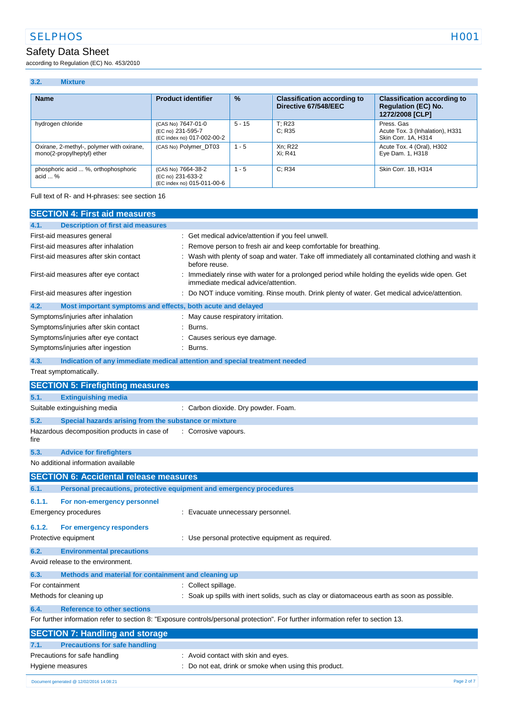according to Regulation (EC) No. 453/2010

#### **3.2. Mixture**

| <b>Name</b>                                                             | <b>Product identifier</b>                                             | $\frac{9}{6}$ | <b>Classification according to</b><br>Directive 67/548/EEC | <b>Classification according to</b><br><b>Regulation (EC) No.</b><br>1272/2008 [CLP] |
|-------------------------------------------------------------------------|-----------------------------------------------------------------------|---------------|------------------------------------------------------------|-------------------------------------------------------------------------------------|
| hydrogen chloride                                                       | (CAS No) 7647-01-0<br>(EC no) 231-595-7<br>(EC index no) 017-002-00-2 | $5 - 15$      | T: R23<br>C: R35                                           | Press, Gas<br>Acute Tox. 3 (Inhalation), H331<br>Skin Corr. 1A, H314                |
| Oxirane, 2-methyl-, polymer with oxirane,<br>mono(2-propylheptyl) ether | (CAS No) Polymer DT03                                                 | $1 - 5$       | Xn: R22<br>Xi: R41                                         | Acute Tox. 4 (Oral), H302<br>Eye Dam. 1, H318                                       |
| phosphoric acid  %, orthophosphoric<br>$\alpha$ cid $\ldots$ %          | (CAS No) 7664-38-2<br>(EC no) 231-633-2<br>(EC index no) 015-011-00-6 | $1 - 5$       | C: R34                                                     | Skin Corr. 1B, H314                                                                 |

Full text of R- and H-phrases: see section 16

| <b>SECTION 4: First aid measures</b>                                               |                                                                                                                                     |
|------------------------------------------------------------------------------------|-------------------------------------------------------------------------------------------------------------------------------------|
| <b>Description of first aid measures</b><br>4.1.                                   |                                                                                                                                     |
| First-aid measures general                                                         | Get medical advice/attention if you feel unwell.                                                                                    |
| First-aid measures after inhalation                                                | Remove person to fresh air and keep comfortable for breathing.                                                                      |
| First-aid measures after skin contact                                              | Wash with plenty of soap and water. Take off immediately all contaminated clothing and wash it<br>before reuse.                     |
| First-aid measures after eye contact                                               | Immediately rinse with water for a prolonged period while holding the eyelids wide open. Get<br>immediate medical advice/attention. |
| First-aid measures after ingestion                                                 | Do NOT induce vomiting. Rinse mouth. Drink plenty of water. Get medical advice/attention.                                           |
| 4.2.<br>Most important symptoms and effects, both acute and delayed                |                                                                                                                                     |
| Symptoms/injuries after inhalation                                                 | May cause respiratory irritation.                                                                                                   |
| Symptoms/injuries after skin contact                                               | Burns.                                                                                                                              |
| Symptoms/injuries after eye contact                                                | Causes serious eye damage.                                                                                                          |
| Symptoms/injuries after ingestion                                                  | Burns.                                                                                                                              |
| 4.3.<br>Indication of any immediate medical attention and special treatment needed |                                                                                                                                     |
| Treat symptomatically.                                                             |                                                                                                                                     |
| <b>SECTION 5: Firefighting measures</b>                                            |                                                                                                                                     |
| <b>Extinguishing media</b><br>5.1.                                                 |                                                                                                                                     |
| Suitable extinguishing media                                                       | : Carbon dioxide. Dry powder. Foam.                                                                                                 |
| 5.2.<br>Special hazards arising from the substance or mixture                      |                                                                                                                                     |
| Hazardous decomposition products in case of<br>fire                                | : Corrosive vapours.                                                                                                                |
| 5.3.<br><b>Advice for firefighters</b>                                             |                                                                                                                                     |
| No additional information available                                                |                                                                                                                                     |
| <b>SECTION 6: Accidental release measures</b>                                      |                                                                                                                                     |
| Personal precautions, protective equipment and emergency procedures<br>6.1.        |                                                                                                                                     |
| 6.1.1.<br>For non-emergency personnel                                              |                                                                                                                                     |
| <b>Emergency procedures</b>                                                        | : Evacuate unnecessary personnel.                                                                                                   |
|                                                                                    |                                                                                                                                     |
| 6.1.2.<br>For emergency responders                                                 |                                                                                                                                     |
| Protective equipment                                                               | : Use personal protective equipment as required.                                                                                    |
| 6.2.<br><b>Environmental precautions</b>                                           |                                                                                                                                     |
| Avoid release to the environment.                                                  |                                                                                                                                     |
| 6.3.<br>Methods and material for containment and cleaning up                       |                                                                                                                                     |
| For containment                                                                    | : Collect spillage.                                                                                                                 |
| Methods for cleaning up                                                            | : Soak up spills with inert solids, such as clay or diatomaceous earth as soon as possible.                                         |
| <b>Reference to other sections</b><br>6.4.                                         |                                                                                                                                     |
|                                                                                    | For further information refer to section 8: "Exposure controls/personal protection". For further information refer to section 13.   |
| <b>SECTION 7: Handling and storage</b>                                             |                                                                                                                                     |
| <b>Precautions for safe handling</b><br>7.1.                                       |                                                                                                                                     |
| Precautions for safe handling                                                      | : Avoid contact with skin and eyes.                                                                                                 |
| Hygiene measures                                                                   | Do not eat, drink or smoke when using this product.                                                                                 |
|                                                                                    |                                                                                                                                     |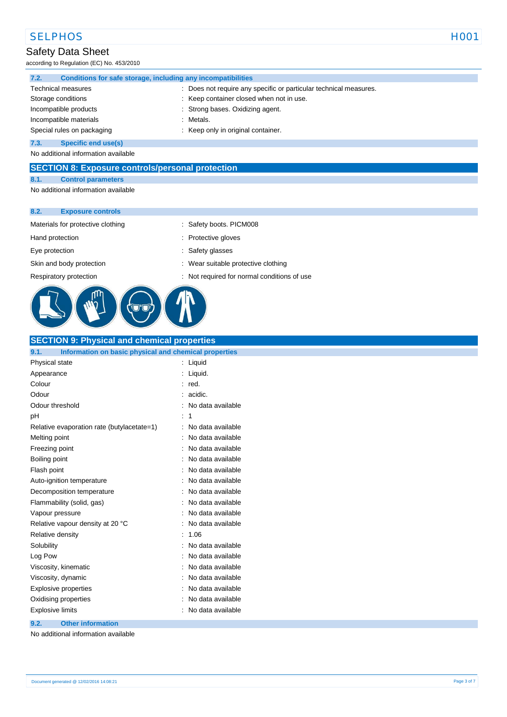according to Regulation (EC) No. 453/2010

| 7.2.                       | Conditions for safe storage, including any incompatibilities |  |                                                                   |
|----------------------------|--------------------------------------------------------------|--|-------------------------------------------------------------------|
|                            | <b>Technical measures</b>                                    |  | : Does not require any specific or particular technical measures. |
|                            | Storage conditions                                           |  | : Keep container closed when not in use.                          |
|                            | Incompatible products                                        |  | : Strong bases. Oxidizing agent.                                  |
|                            | Incompatible materials                                       |  | : Metals.                                                         |
| Special rules on packaging |                                                              |  | Keep only in original container.                                  |
| 7.3.                       | Specific end use(s)                                          |  |                                                                   |

No additional information available

#### **SECTION 8: Exposure controls/personal protection**

#### **8.1. Control parameters**

No additional information available

#### **8.2. Exposure controls**

Materials for protective clothing : Safety boots. PICM008

Hand protection **in the contract of the contract of the contract of the contract of the contract of the contract of the contract of the contract of the contract of the contract of the contract of the contract of the contra** 

- 
- 
- Eye protection  $\qquad \qquad$ : Safety glasses
- Skin and body protection **in the suitable protective clothing** : Wear suitable protective clothing

Respiratory protection : Not required for normal conditions of use



### **SECTION 9: Physical and chemical properties**

| 9.1.                      | Information on basic physical and chemical properties |  |                   |
|---------------------------|-------------------------------------------------------|--|-------------------|
| Physical state            |                                                       |  | Liquid            |
| Appearance                |                                                       |  | Liquid.           |
| Colour                    |                                                       |  | red.              |
| Odour                     |                                                       |  | acidic.           |
| Odour threshold           |                                                       |  | No data available |
| рH                        |                                                       |  | 1                 |
|                           | Relative evaporation rate (butylacetate=1)            |  | No data available |
| Melting point             |                                                       |  | No data available |
| Freezing point            |                                                       |  | No data available |
| Boiling point             |                                                       |  | No data available |
| Flash point               |                                                       |  | No data available |
| Auto-ignition temperature |                                                       |  | No data available |
| Decomposition temperature |                                                       |  | No data available |
| Flammability (solid, gas) |                                                       |  | No data available |
| Vapour pressure           |                                                       |  | No data available |
|                           | Relative vapour density at 20 °C                      |  | No data available |
| Relative density          |                                                       |  | 1.06              |
| Solubility                |                                                       |  | No data available |
| Log Pow                   |                                                       |  | No data available |
|                           | Viscosity, kinematic                                  |  | No data available |
| Viscosity, dynamic        |                                                       |  | No data available |
| Explosive properties      |                                                       |  | No data available |
| Oxidising properties      |                                                       |  | No data available |
| <b>Explosive limits</b>   |                                                       |  | No data available |

#### **9.2. Other information**

No additional information available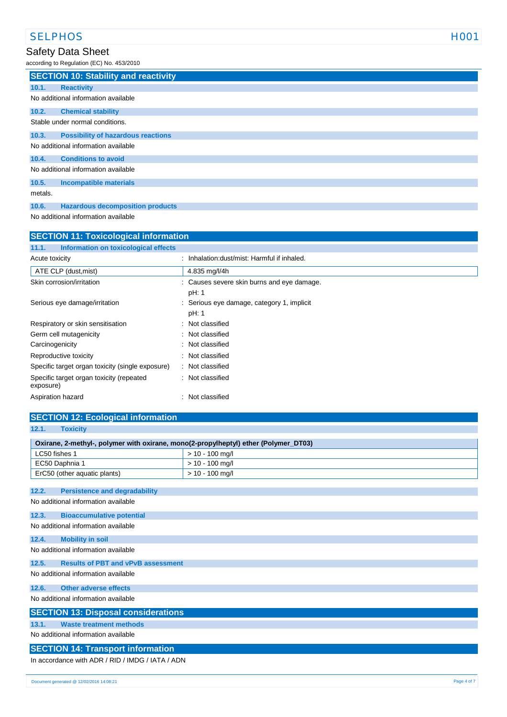according to Regulation (EC) No. 453/2010

|         | <b>SECTION 10: Stability and reactivity</b> |
|---------|---------------------------------------------|
| 10.1.   | <b>Reactivity</b>                           |
|         | No additional information available         |
| 10.2.   | <b>Chemical stability</b>                   |
|         | Stable under normal conditions.             |
| 10.3.   | <b>Possibility of hazardous reactions</b>   |
|         | No additional information available         |
| 10.4.   | <b>Conditions to avoid</b>                  |
|         | No additional information available         |
| 10.5.   | <b>Incompatible materials</b>               |
| metals. |                                             |
| 10.6.   | <b>Hazardous decomposition products</b>     |

No additional information available

| <b>SECTION 11: Toxicological information</b>          |                                            |  |
|-------------------------------------------------------|--------------------------------------------|--|
| 11.1.<br>Information on toxicological effects         |                                            |  |
| Acute toxicity                                        | Inhalation: dust/mist: Harmful if inhaled. |  |
| ATE CLP (dust, mist)                                  | 4.835 mg/l/4h                              |  |
| Skin corrosion/irritation                             | : Causes severe skin burns and eye damage. |  |
|                                                       | pH: 1                                      |  |
| Serious eye damage/irritation                         | Serious eye damage, category 1, implicit   |  |
|                                                       | pH: 1                                      |  |
| Respiratory or skin sensitisation                     | Not classified                             |  |
| Germ cell mutagenicity                                | : Not classified                           |  |
| Carcinogenicity                                       | Not classified                             |  |
| Reproductive toxicity                                 | Not classified                             |  |
| Specific target organ toxicity (single exposure)      | : Not classified                           |  |
| Specific target organ toxicity (repeated<br>exposure) | : Not classified                           |  |
| Aspiration hazard                                     | : Not classified                           |  |

### **SECTION 12: Ecological information**

| 12.1.<br><b>Toxicity</b>                                                            |                   |  |  |
|-------------------------------------------------------------------------------------|-------------------|--|--|
| Oxirane, 2-methyl-, polymer with oxirane, mono(2-propylheptyl) ether (Polymer_DT03) |                   |  |  |
| LC50 fishes 1                                                                       | $> 10 - 100$ mg/l |  |  |
| EC50 Daphnia 1                                                                      | $> 10 - 100$ mg/l |  |  |
| ErC50 (other aquatic plants)                                                        | $> 10 - 100$ mg/l |  |  |
| 12.2.<br><b>Persistence and degradability</b>                                       |                   |  |  |
|                                                                                     |                   |  |  |
| No additional information available                                                 |                   |  |  |
| 12.3.<br><b>Bioaccumulative potential</b>                                           |                   |  |  |
| No additional information available                                                 |                   |  |  |
| 12.4.<br><b>Mobility in soil</b>                                                    |                   |  |  |
| No additional information available                                                 |                   |  |  |
| <b>Results of PBT and vPvB assessment</b>                                           |                   |  |  |
| 12.5.                                                                               |                   |  |  |
| No additional information available                                                 |                   |  |  |
| 12.6.<br><b>Other adverse effects</b>                                               |                   |  |  |
| No additional information available                                                 |                   |  |  |
| <b>SECTION 13: Disposal considerations</b>                                          |                   |  |  |
| <b>Waste treatment methods</b><br>13.1.                                             |                   |  |  |
| No additional information available                                                 |                   |  |  |
|                                                                                     |                   |  |  |
| <b>SECTION 14: Transport information</b>                                            |                   |  |  |
| In accordance with ADR / RID / IMDG / IATA / ADN                                    |                   |  |  |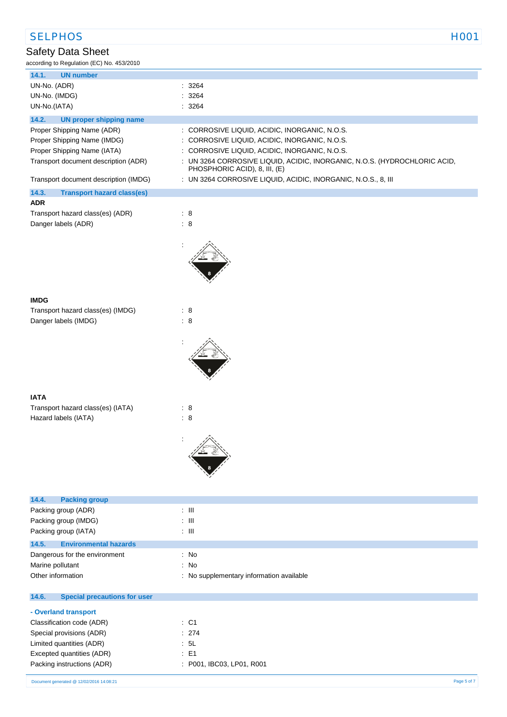| <b>SELPHOS</b>                                                                                                                                                            | H <sub>001</sub>                                                                                                                                                                                                                                                                                                               |
|---------------------------------------------------------------------------------------------------------------------------------------------------------------------------|--------------------------------------------------------------------------------------------------------------------------------------------------------------------------------------------------------------------------------------------------------------------------------------------------------------------------------|
| Safety Data Sheet<br>according to Regulation (EC) No. 453/2010                                                                                                            |                                                                                                                                                                                                                                                                                                                                |
| <b>UN number</b><br>14.1.                                                                                                                                                 |                                                                                                                                                                                                                                                                                                                                |
| UN-No. (ADR)<br>UN-No. (IMDG)<br>UN-No.(IATA)                                                                                                                             | : 3264<br>: 3264<br>: 3264                                                                                                                                                                                                                                                                                                     |
| 14.2.<br><b>UN proper shipping name</b>                                                                                                                                   |                                                                                                                                                                                                                                                                                                                                |
| Proper Shipping Name (ADR)<br>Proper Shipping Name (IMDG)<br>Proper Shipping Name (IATA)<br>Transport document description (ADR)<br>Transport document description (IMDG) | : CORROSIVE LIQUID, ACIDIC, INORGANIC, N.O.S.<br>: CORROSIVE LIQUID, ACIDIC, INORGANIC, N.O.S.<br>: CORROSIVE LIQUID, ACIDIC, INORGANIC, N.O.S.<br>: UN 3264 CORROSIVE LIQUID, ACIDIC, INORGANIC, N.O.S. (HYDROCHLORIC ACID,<br>PHOSPHORIC ACID), 8, III, (E)<br>: UN 3264 CORROSIVE LIQUID, ACIDIC, INORGANIC, N.O.S., 8, III |
| 14.3.<br><b>Transport hazard class(es)</b>                                                                                                                                |                                                                                                                                                                                                                                                                                                                                |
| <b>ADR</b><br>Transport hazard class(es) (ADR)<br>Danger labels (ADR)                                                                                                     | $\therefore$ 8<br>$\therefore$ 8                                                                                                                                                                                                                                                                                               |
|                                                                                                                                                                           |                                                                                                                                                                                                                                                                                                                                |
| <b>IMDG</b>                                                                                                                                                               |                                                                                                                                                                                                                                                                                                                                |
| Transport hazard class(es) (IMDG)<br>Danger labels (IMDG)                                                                                                                 | $\therefore$ 8<br>$\therefore$ 8                                                                                                                                                                                                                                                                                               |
|                                                                                                                                                                           |                                                                                                                                                                                                                                                                                                                                |
| <b>IATA</b>                                                                                                                                                               |                                                                                                                                                                                                                                                                                                                                |
| Transport hazard class(es) (IATA)<br>Hazard labels (IATA)                                                                                                                 | $\therefore$ 8<br>: 8                                                                                                                                                                                                                                                                                                          |
|                                                                                                                                                                           |                                                                                                                                                                                                                                                                                                                                |
| 14.4.<br><b>Packing group</b>                                                                                                                                             |                                                                                                                                                                                                                                                                                                                                |
| Packing group (ADR)                                                                                                                                                       | $\lesssim 10$                                                                                                                                                                                                                                                                                                                  |
| Packing group (IMDG)<br>Packing group (IATA)                                                                                                                              | : $\mathbf{III}$<br>$\pm$ 111                                                                                                                                                                                                                                                                                                  |
| 14.5.<br><b>Environmental hazards</b>                                                                                                                                     |                                                                                                                                                                                                                                                                                                                                |
| Dangerous for the environment                                                                                                                                             | : No                                                                                                                                                                                                                                                                                                                           |
| Marine pollutant<br>Other information                                                                                                                                     | : No<br>: No supplementary information available                                                                                                                                                                                                                                                                               |
| 14.6.<br><b>Special precautions for user</b>                                                                                                                              |                                                                                                                                                                                                                                                                                                                                |

#### **- Overland transport** Classification code (ADR) : C1 Special provisions (ADR)  $\qquad \qquad$  : 274 Limited quantities (ADR) : 5L Excepted quantities (ADR) : E1 Packing instructions (ADR) : P001, IBC03, LP01, R001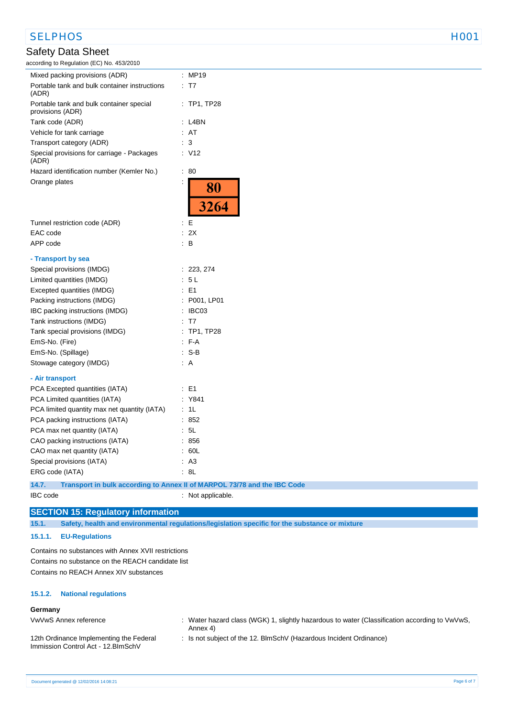### SELPHOS FOR THE SELPHOS AND THE SELPHOS

### Safety Data Sheet

according to Regulation (EC) No. 453/2010

| Mixed packing provisions (ADR)                               |                      | MP19              |
|--------------------------------------------------------------|----------------------|-------------------|
| Portable tank and bulk container instructions<br>(ADR)       | ÷                    | T7                |
| Portable tank and bulk container special<br>provisions (ADR) |                      | $:$ TP1, TP28     |
| Tank code (ADR)                                              |                      | L <sub>4</sub> BN |
| Vehicle for tank carriage                                    | ÷                    | AT                |
| Transport category (ADR)                                     |                      | 3                 |
| Special provisions for carriage - Packages<br>(ADR)          |                      | V <sub>12</sub>   |
| Hazard identification number (Kemler No.)                    | İ                    | 80                |
| Orange plates                                                | $\ddot{\phantom{a}}$ | $\frac{80}{3264}$ |
|                                                              |                      |                   |
| Tunnel restriction code (ADR)                                | İ                    | E                 |
| EAC code                                                     | t                    | 2X                |
| APP code                                                     |                      | в                 |
| - Transport by sea                                           |                      |                   |
| Special provisions (IMDG)                                    | ÷                    | 223, 274          |
| Limited quantities (IMDG)                                    |                      | 5L                |
| Excepted quantities (IMDG)                                   |                      | E <sub>1</sub>    |
| Packing instructions (IMDG)                                  | $\vdots$             | P001, LP01        |
| IBC packing instructions (IMDG)                              | ÷                    | IBC03             |
| Tank instructions (IMDG)                                     |                      | T7                |
| Tank special provisions (IMDG)                               |                      | <b>TP1, TP28</b>  |
| EmS-No. (Fire)                                               | ÷                    | F-A               |
| EmS-No. (Spillage)                                           |                      | S-B               |
| Stowage category (IMDG)                                      |                      | A                 |
| - Air transport                                              |                      |                   |
| PCA Excepted quantities (IATA)                               |                      | E1                |
| PCA Limited quantities (IATA)                                |                      | Y841              |
| PCA limited quantity max net quantity (IATA)                 | t                    | 1L                |
| PCA packing instructions (IATA)                              |                      | 852               |
| PCA max net quantity (IATA)                                  |                      | 5L                |
| CAO packing instructions (IATA)                              | ÷                    | 856               |
| CAO max net quantity (IATA)                                  |                      | 60L               |
| Special provisions (IATA)                                    |                      | A <sub>3</sub>    |
| ERG code (IATA)                                              |                      | 8L                |
|                                                              |                      |                   |

**14.7. Transport in bulk according to Annex II of MARPOL 73/78 and the IBC Code**

IBC code : Not applicable.

## **SECTION 15: Regulatory information**

**15.1. Safety, health and environmental regulations/legislation specific for the substance or mixture**

**15.1.1. EU-Regulations** 

Contains no substances with Annex XVII restrictions Contains no substance on the REACH candidate list Contains no REACH Annex XIV substances

#### **15.1.2. National regulations**

#### **Germany** VwVwS Annex reference

| : Water hazard class (WGK) 1, slightly hazardous to water (Classification according to VwVwS, |
|-----------------------------------------------------------------------------------------------|
| Annex 4)                                                                                      |

12th Ordinance Implementing the Federal Immission Control Act - 12.BImSchV

: Is not subject of the 12. BlmSchV (Hazardous Incident Ordinance)